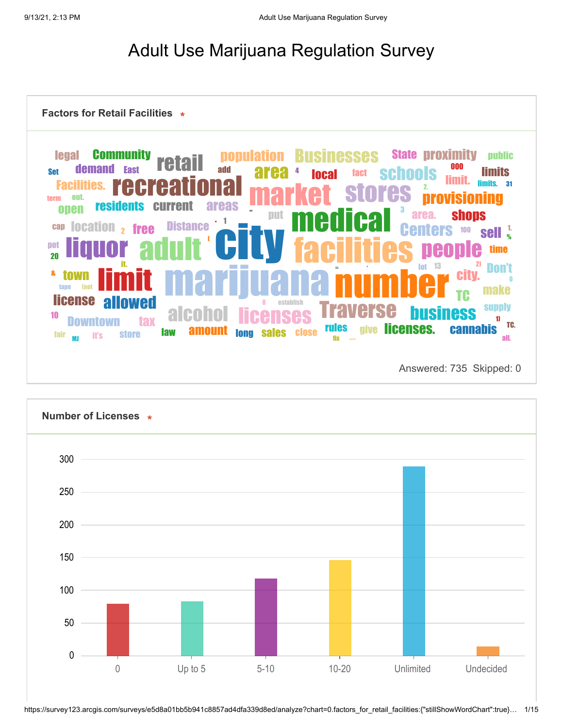## Adult Use Marijuana Regulation Survey

| <b>Community</b><br><b>legal</b><br>demand<br><b>Set</b><br><b>Facilities.</b><br>nııt<br>term | retail<br><b>East</b><br>i ACI                                        | <b>ulation</b><br>add<br>area | <b>USINESSES</b><br>fact<br><b>local</b>               | <b>State proximity</b><br>000<br><b>schools</b><br>2.<br><b>Stores</b> | public<br><b>limits</b><br>limits.<br>31<br>visioning |
|------------------------------------------------------------------------------------------------|-----------------------------------------------------------------------|-------------------------------|--------------------------------------------------------|------------------------------------------------------------------------|-------------------------------------------------------|
| <b>residents</b><br>onen<br><b>location</b><br>cap<br>pot                                      | rent<br><b>CU</b><br><b>Distance</b><br><b>free</b><br>$\overline{2}$ | <b>areas</b><br>put           |                                                        | 3<br>area.<br>nters<br>100                                             | <b>shops</b><br>sell $\frac{1}{2}$<br>time            |
| 20<br>8.<br>town<br><b>license</b>                                                             |                                                                       |                               | $=$                                                    | 13<br><b>lot</b><br><b>City.</b>                                       | Don't<br><b>make</b>                                  |
| 10<br>fair<br><b>it's</b><br>MI                                                                | allowed<br>alco<br><b>Jaw</b><br><b>store</b>                         | <b>sales</b><br>Iona          | establish<br>H<br><b>rules</b><br>give<br><b>close</b> | rse<br><b>ness</b><br>licenses.                                        | <b>Supply</b><br>11<br>TC.<br><b>cannabis</b><br>all. |

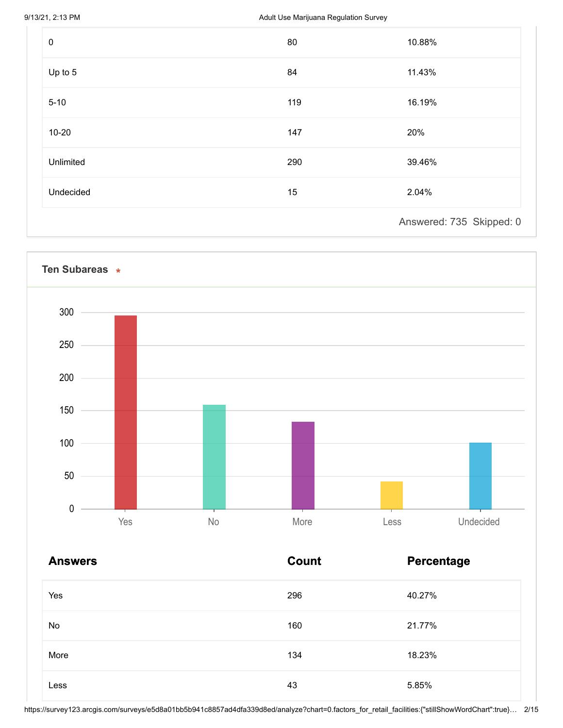9/13/21, 2:13 PM **Adult Use Marijuana Regulation Survey** 

| $\pmb{0}$ | 80  | 10.88%                   |
|-----------|-----|--------------------------|
| Up to 5   | 84  | 11.43%                   |
| $5 - 10$  | 119 | 16.19%                   |
| $10 - 20$ | 147 | 20%                      |
| Unlimited | 290 | 39.46%                   |
| Undecided | 15  | 2.04%                    |
|           |     | Answered: 735 Skipped: 0 |



| <b>Answers</b> | <b>Count</b> | <b>Percentage</b> |
|----------------|--------------|-------------------|
| Yes            | 296          | 40.27%            |
| No             | 160          | 21.77%            |
| More           | 134          | 18.23%            |
| Less           | 43           | 5.85%             |

https://survey123.arcgis.com/surveys/e5d8a01bb5b941c8857ad4dfa339d8ed/analyze?chart=0.factors\_for\_retail\_facilities:{"stillShowWordChart":true}… 2/15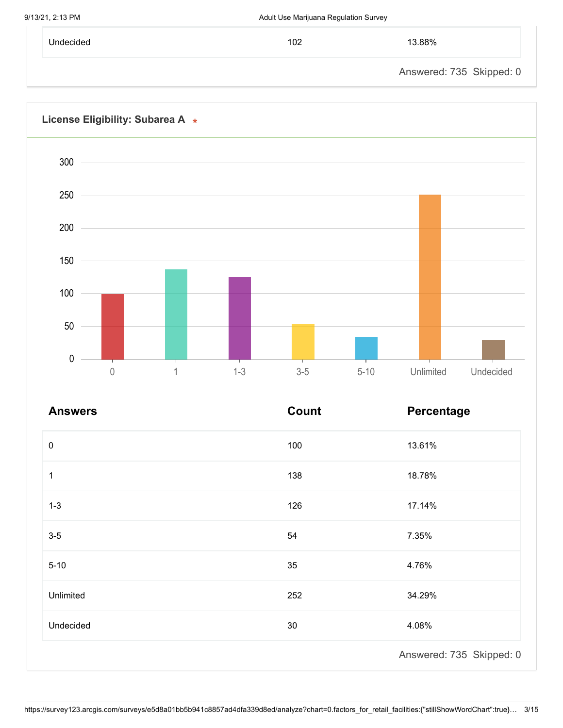| Undecided | 102 | 13.88%                   |
|-----------|-----|--------------------------|
|           |     | Answered: 735 Skipped: 0 |



| <b>Answers</b> | <b>Count</b> | Percentage               |
|----------------|--------------|--------------------------|
| $\pmb{0}$      | 100          | 13.61%                   |
| 1              | 138          | 18.78%                   |
| $1 - 3$        | 126          | 17.14%                   |
| $3-5$          | 54           | 7.35%                    |
| $5 - 10$       | 35           | 4.76%                    |
| Unlimited      | 252          | 34.29%                   |
| Undecided      | 30           | 4.08%                    |
|                |              | Answered: 735 Skipped: 0 |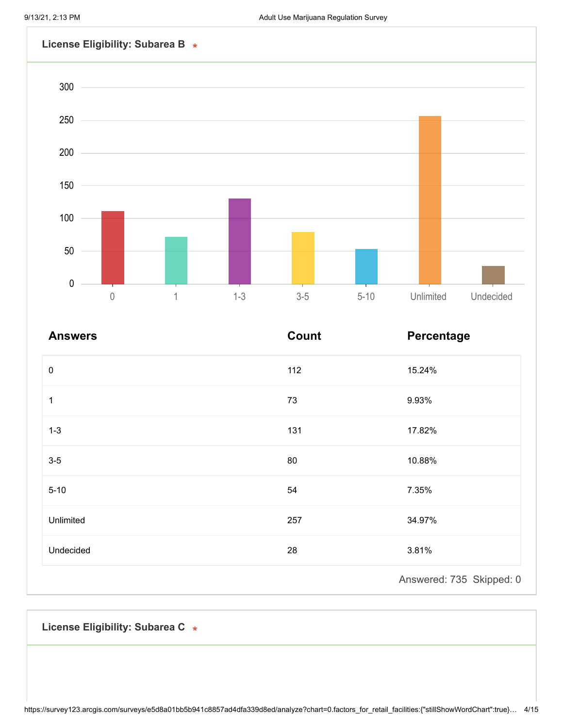

| <b>Answers</b> | <b>Count</b> | Percentage               |
|----------------|--------------|--------------------------|
| $\pmb{0}$      | 112          | 15.24%                   |
| 1              | 73           | 9.93%                    |
| $1 - 3$        | 131          | 17.82%                   |
| $3-5$          | 80           | 10.88%                   |
| $5 - 10$       | 54           | 7.35%                    |
| Unlimited      | 257          | 34.97%                   |
| Undecided      | 28           | 3.81%                    |
|                |              | Answered: 735 Skipped: 0 |

**License Eligibility: Subarea C**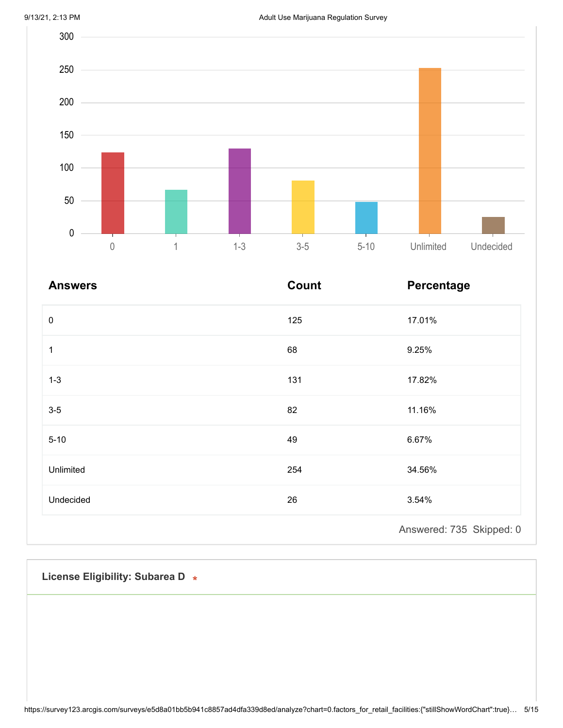

| <b>Answers</b> | <b>Count</b> | Percentage               |
|----------------|--------------|--------------------------|
| $\pmb{0}$      | 125          | 17.01%                   |
| 1              | 68           | 9.25%                    |
| $1 - 3$        | 131          | 17.82%                   |
| $3-5$          | 82           | 11.16%                   |
| $5 - 10$       | 49           | 6.67%                    |
| Unlimited      | 254          | 34.56%                   |
| Undecided      | 26           | 3.54%                    |
|                |              | Answered: 735 Skipped: 0 |

**License Eligibility: Subarea D**

https://survey123.arcgis.com/surveys/e5d8a01bb5b941c8857ad4dfa339d8ed/analyze?chart=0.factors\_for\_retail\_facilities:{"stillShowWordChart":true}… 5/15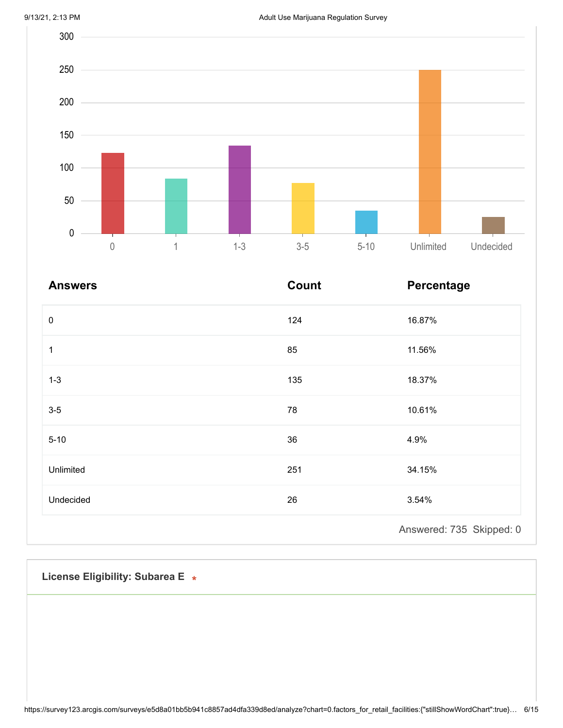

| <b>Answers</b> | Count | Percentage               |
|----------------|-------|--------------------------|
| $\pmb{0}$      | 124   | 16.87%                   |
| 1              | 85    | 11.56%                   |
| $1 - 3$        | 135   | 18.37%                   |
| $3-5$          | 78    | 10.61%                   |
| $5 - 10$       | 36    | 4.9%                     |
| Unlimited      | 251   | 34.15%                   |
| Undecided      | 26    | 3.54%                    |
|                |       | Answered: 735 Skipped: 0 |

**License Eligibility: Subarea E**

https://survey123.arcgis.com/surveys/e5d8a01bb5b941c8857ad4dfa339d8ed/analyze?chart=0.factors\_for\_retail\_facilities:{"stillShowWordChart":true}… 6/15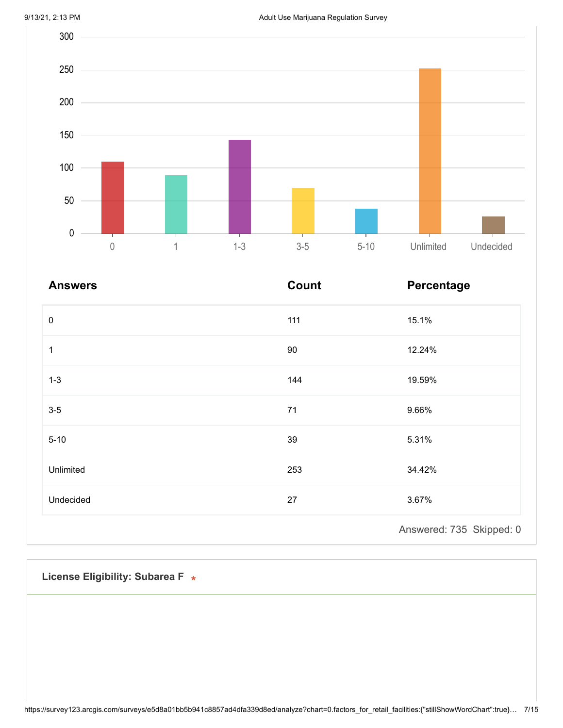

| <b>Answers</b> | Count | Percentage               |
|----------------|-------|--------------------------|
| $\pmb{0}$      | 111   | 15.1%                    |
| 1              | 90    | 12.24%                   |
| $1 - 3$        | 144   | 19.59%                   |
| $3-5$          | 71    | 9.66%                    |
| $5 - 10$       | 39    | 5.31%                    |
| Unlimited      | 253   | 34.42%                   |
| Undecided      | 27    | 3.67%                    |
|                |       | Answered: 735 Skipped: 0 |

**License Eligibility: Subarea F**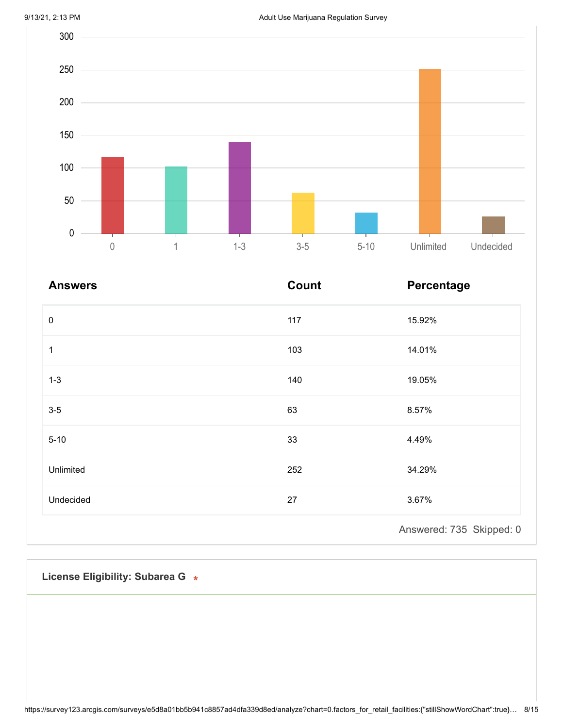

| <b>Answers</b> | <b>Count</b> | Percentage               |
|----------------|--------------|--------------------------|
| $\pmb{0}$      | 117          | 15.92%                   |
| 1              | 103          | 14.01%                   |
| $1 - 3$        | 140          | 19.05%                   |
| $3-5$          | 63           | 8.57%                    |
| $5 - 10$       | 33           | 4.49%                    |
| Unlimited      | 252          | 34.29%                   |
| Undecided      | 27           | 3.67%                    |
|                |              | Answered: 735 Skipped: 0 |

**License Eligibility: Subarea G**

https://survey123.arcgis.com/surveys/e5d8a01bb5b941c8857ad4dfa339d8ed/analyze?chart=0.factors\_for\_retail\_facilities:{"stillShowWordChart":true}… 8/15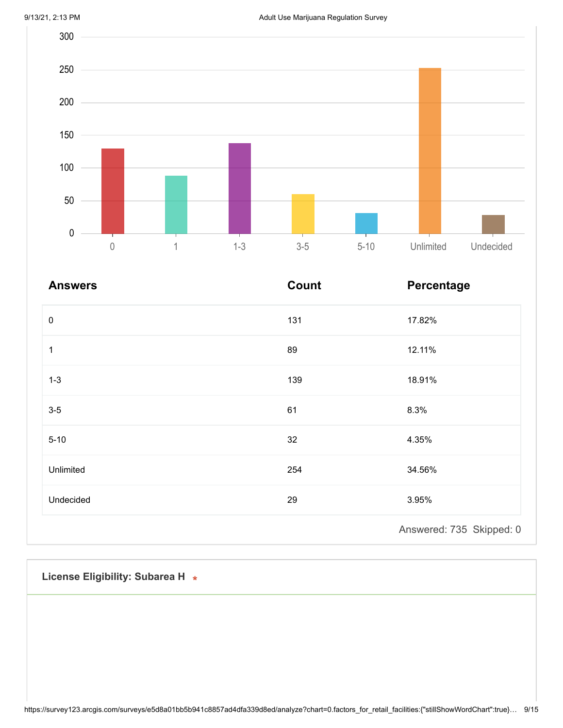

| <b>Answers</b> | <b>Count</b> | Percentage               |
|----------------|--------------|--------------------------|
| $\pmb{0}$      | 131          | 17.82%                   |
| 1              | 89           | 12.11%                   |
| $1 - 3$        | 139          | 18.91%                   |
| $3-5$          | 61           | 8.3%                     |
| $5 - 10$       | 32           | 4.35%                    |
| Unlimited      | 254          | 34.56%                   |
| Undecided      | 29           | 3.95%                    |
|                |              | Answered: 735 Skipped: 0 |

**License Eligibility: Subarea H**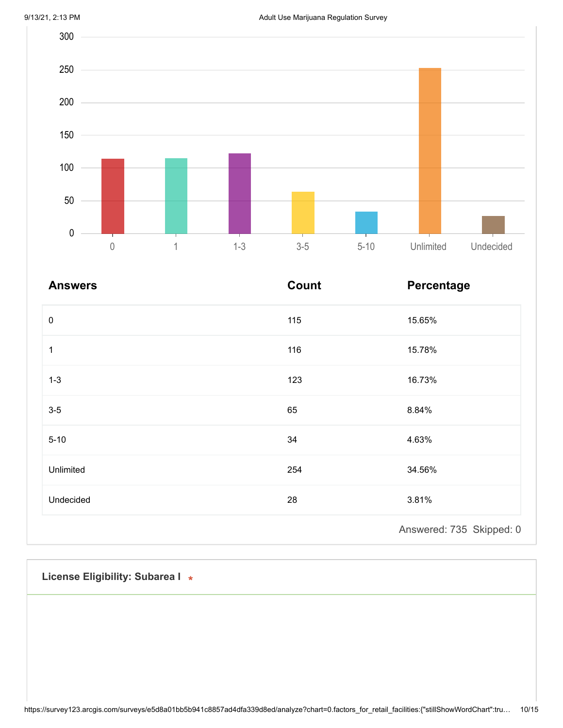

| <b>Answers</b> | <b>Count</b> | Percentage               |
|----------------|--------------|--------------------------|
| $\pmb{0}$      | 115          | 15.65%                   |
| 1              | 116          | 15.78%                   |
| $1 - 3$        | 123          | 16.73%                   |
| $3-5$          | 65           | 8.84%                    |
| $5 - 10$       | 34           | 4.63%                    |
| Unlimited      | 254          | 34.56%                   |
| Undecided      | 28           | 3.81%                    |
|                |              | Answered: 735 Skipped: 0 |

**License Eligibility: Subarea I**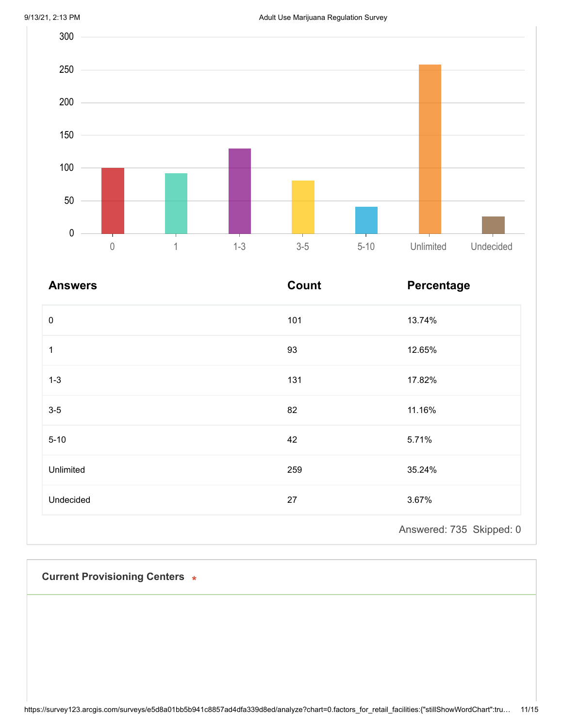

| <b>Answers</b> | <b>Count</b> | Percentage               |
|----------------|--------------|--------------------------|
| $\pmb{0}$      | 101          | 13.74%                   |
| $\mathbf{1}$   | 93           | 12.65%                   |
| $1 - 3$        | 131          | 17.82%                   |
| $3-5$          | 82           | 11.16%                   |
| $5 - 10$       | 42           | 5.71%                    |
| Unlimited      | 259          | 35.24%                   |
| Undecided      | 27           | 3.67%                    |
|                |              | Answered: 735 Skipped: 0 |

**Current Provisioning Centers**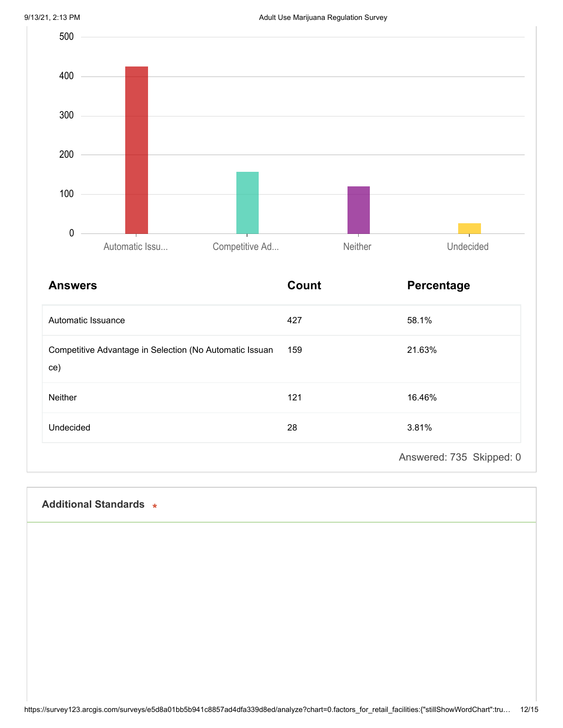

| <b>Answers</b>                                                 | <b>Count</b> | Percentage               |
|----------------------------------------------------------------|--------------|--------------------------|
| Automatic Issuance                                             | 427          | 58.1%                    |
| Competitive Advantage in Selection (No Automatic Issuan<br>ce) | 159          | 21.63%                   |
| Neither                                                        | 121          | 16.46%                   |
| Undecided                                                      | 28           | 3.81%                    |
|                                                                |              | Answered: 735 Skipped: 0 |

## **Additional Standards**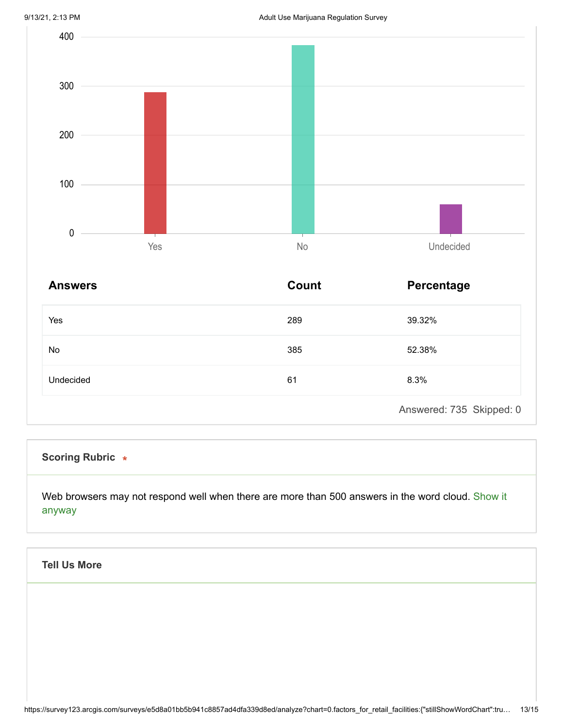

| <b>Answers</b> | Count | Percentage               |
|----------------|-------|--------------------------|
| Yes            | 289   | 39.32%                   |
| No             | 385   | 52.38%                   |
| Undecided      | 61    | 8.3%                     |
|                |       | Answered: 735 Skipped: 0 |

## **Scoring Rubric**

Web browsers may not respond well when there are more than 500 answers in the word cloud. Show it anyway

## **Tell Us More**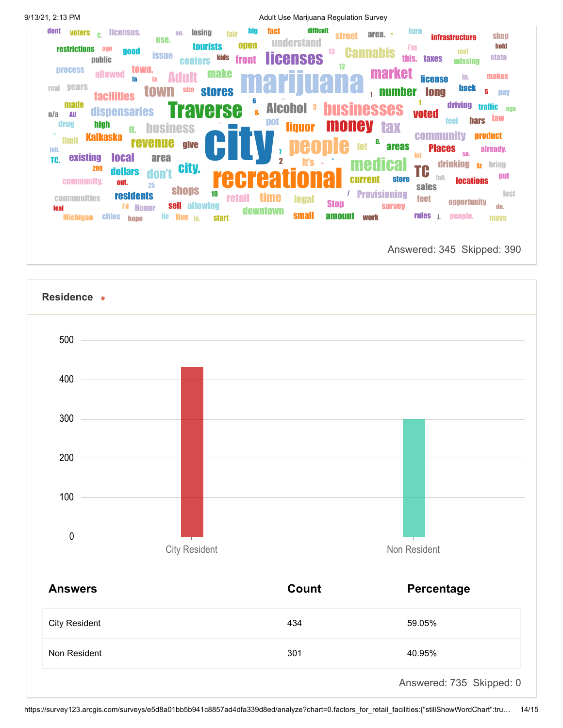| 9/13/21, 2:13 PM                                                                                                                                                                                                                                                                                                                                                    | Adult Use Marijuana Regulation Survey                                                                                                                                                                                                                                                                                                                                            |                                                                                                                                                                                                                                                                                                                            |
|---------------------------------------------------------------------------------------------------------------------------------------------------------------------------------------------------------------------------------------------------------------------------------------------------------------------------------------------------------------------|----------------------------------------------------------------------------------------------------------------------------------------------------------------------------------------------------------------------------------------------------------------------------------------------------------------------------------------------------------------------------------|----------------------------------------------------------------------------------------------------------------------------------------------------------------------------------------------------------------------------------------------------------------------------------------------------------------------------|
| dont<br>licenses.<br>voters c.<br><b>OTI.</b><br>use.<br><b>restrictions</b><br>age<br>good<br><b>issue</b><br>public<br>town.<br><b>process</b><br>allowed<br>la<br><b>Vears</b><br>real<br>size<br>town<br><b>facilities</b><br><b>made</b><br>dispensaries<br>$\mathbf{n}/\mathbf{a}$<br>AU                                                                      | difficult<br><b>big</b><br>fact<br><b>losing</b><br>fair<br>area.<br>$\overline{1}$<br><b>street</b><br><b>understand</b><br>open<br><b>tourists</b><br><b>Cannabis</b><br>13<br><b>licenses</b><br>kids<br>front<br><b>centers</b><br>12<br>market<br><b>make</b><br>mo<br><b>stores</b><br>6<br><b>Alcohol</b><br>3<br><b>businesses</b><br>raverse<br>$\overline{\mathbf{a}}$ | turn<br>shop<br><b>infrastructure</b><br>hold<br><b>i'm</b><br>too!<br><b>state</b><br>this.<br><b>taxes</b><br>missing<br><b>makes</b><br>in.<br><b>license</b><br><b>back</b><br><b>number</b><br>5<br><b>long</b><br>pay<br>driving<br><b>traffic</b><br>ago<br><b>voted</b><br><b>law</b>                              |
| drug<br>high<br><b>business</b><br>it.<br><b>Kalkaska</b><br>limit<br><b>revenue</b><br>job.<br><b>existing</b><br><b>local</b><br>area<br>TC.<br><b>City.</b><br>200<br>dollars<br>don't<br>community.<br>out.<br>25<br><b>shops</b><br><b>residents</b><br>communities<br>ra,<br><b>Honor</b><br><b>leaf</b><br>lie.<br>live<br><b>Michigan</b><br>cities<br>hone | pot<br>money<br><b>liquor</b><br><b>tax</b><br>D.<br>give<br>lot<br>$\overline{2}$<br>lťs<br>medical<br><b>current</b><br><b>Provisioning</b><br>10<br><b>retail</b><br>tıme<br><b>legal</b><br><b>Stop</b><br>sell allowing<br>downtown<br><b>small</b><br>amount<br>work<br>is.<br><b>start</b>                                                                                | <b>bars</b><br>feel<br><b>community</b><br><b>product</b><br><b>areas</b><br><b>Places</b><br>already.<br>SO.<br><b>bit</b><br>drinking<br>bring<br><b>St</b><br>TC<br>put<br>fail.<br><b>store</b><br><b>locations</b><br>sales<br>lost<br><b>feet</b><br>opportunity<br><b>Survey</b><br>do.<br>rules<br>people.<br>move |

Answered: 345 Skipped: 390